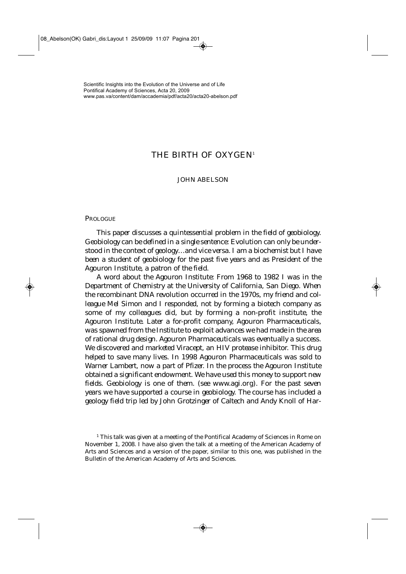# THE BIRTH OF OXYGEN<sup>1</sup>

# JOHN ABELSON

## **PROLOGUE**

*This paper discusses a quintessential problem in the field of geobiology. Geobiology can be defined in a single sentence: Evolution can only be understood in the context of geology…and vice versa. I am a biochemist but I have been a student of geobiology for the past five years and as President of the Agouron Institute, a patron of the field.* 

*A word about the Agouron Institute: From 1968 to 1982 I was in the Department of Chemistry at the University of California, San Diego. When the recombinant DNA revolution occurred in the 1970s, my friend and colleague Mel Simon and I responded, not by forming a biotech company as some of my colleagues did, but by forming a non-profit institute, the Agouron Institute. Later a for-profit company, Agouron Pharmaceuticals, was spawned from the Institute to exploit advances we had made in the area of rational drug design. Agouron Pharmaceuticals was eventually a success. We discovered and marketed Viracept, an HIV protease inhibitor. This drug helped to save many lives. In 1998 Agouron Pharmaceuticals was sold to Warner Lambert, now a part of Pfizer. In the process the Agouron Institute obtained a significant endowment. We have used this money to support new fields. Geobiology is one of them. (see* www.agi.org*). For the past seven years we have supported a course in geobiology. The course has included a geology field trip led by John Grotzinger of Caltech and Andy Knoll of Har-*

<sup>1</sup> This talk was given at a meeting of the Pontifical Academy of Sciences in Rome on November 1, 2008. I have also given the talk at a meeting of the American Academy of Arts and Sciences and a version of the paper, similar to this one, was published in the Bulletin of the American Academy of Arts and Sciences.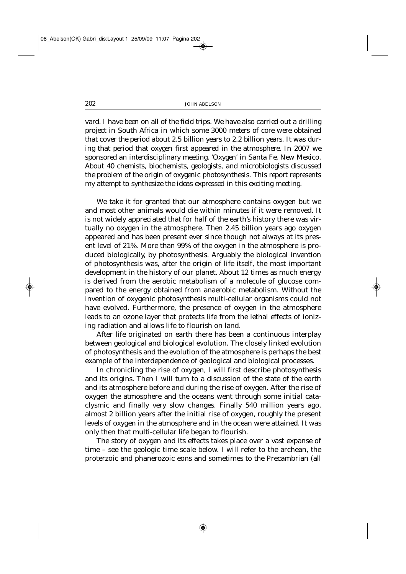*vard. I have been on all of the field trips. We have also carried out a drilling project in South Africa in which some 3000 meters of core were obtained that cover the period about 2.5 billion years to 2.2 billion years. It was during that period that oxygen first appeared in the atmosphere. In 2007 we sponsored an interdisciplinary meeting, 'Oxygen' in Santa Fe, New Mexico. About 40 chemists, biochemists, geologists, and microbiologists discussed the problem of the origin of oxygenic photosynthesis. This report represents my attempt to synthesize the ideas expressed in this exciting meeting.* 

We take it for granted that our atmosphere contains oxygen but we and most other animals would die within minutes if it were removed. It is not widely appreciated that for half of the earth's history there was virtually no oxygen in the atmosphere. Then 2.45 billion years ago oxygen appeared and has been present ever since though not always at its present level of 21%. More than 99% of the oxygen in the atmosphere is produced biologically, by photosynthesis. Arguably the biological invention of photosynthesis was, after the origin of life itself, the most important development in the history of our planet. About 12 times as much energy is derived from the aerobic metabolism of a molecule of glucose compared to the energy obtained from anaerobic metabolism. Without the invention of oxygenic photosynthesis multi-cellular organisms could not have evolved. Furthermore, the presence of oxygen in the atmosphere leads to an ozone layer that protects life from the lethal effects of ionizing radiation and allows life to flourish on land.

After life originated on earth there has been a continuous interplay between geological and biological evolution. The closely linked evolution of photosynthesis and the evolution of the atmosphere is perhaps the best example of the interdependence of geological and biological processes.

In chronicling the rise of oxygen, I will first describe photosynthesis and its origins. Then I will turn to a discussion of the state of the earth and its atmosphere before and during the rise of oxygen. After the rise of oxygen the atmosphere and the oceans went through some initial cataclysmic and finally very slow changes. Finally 540 million years ago, almost 2 billion years after the initial rise of oxygen, roughly the present levels of oxygen in the atmosphere and in the ocean were attained. It was only then that multi-cellular life began to flourish.

The story of oxygen and its effects takes place over a vast expanse of time – see the geologic time scale below. I will refer to the archean, the proterzoic and phanerozoic eons and sometimes to the Precambrian (all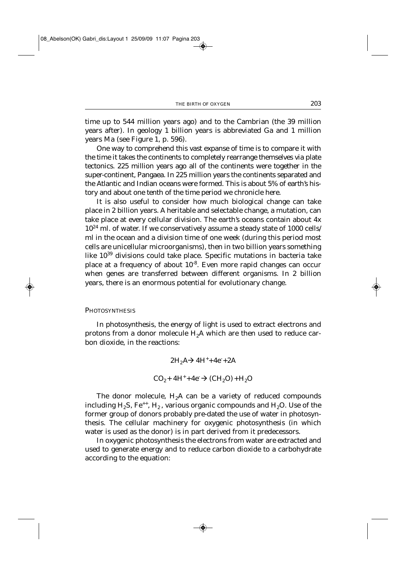time up to 544 million years ago) and to the Cambrian (the 39 million years after). In geology 1 billion years is abbreviated Ga and 1 million years Ma (see Figure 1, p. 596).

One way to comprehend this vast expanse of time is to compare it with the time it takes the continents to completely rearrange themselves via plate tectonics. 225 million years ago all of the continents were together in the super-continent, Pangaea. In 225 million years the continents separated and the Atlantic and Indian oceans were formed. This is about 5% of earth's history and about one tenth of the time period we chronicle here.

It is also useful to consider how much biological change can take place in 2 billion years. A heritable and selectable change, a mutation, can take place at every cellular division. The earth's oceans contain about 4x  $10^{24}$  ml. of water. If we conservatively assume a steady state of 1000 cells/ ml in the ocean and a division time of one week (during this period most cells are unicellular microorganisms), then in two billion years something like 10<sup>39</sup> divisions could take place. Specific mutations in bacteria take place at a frequency of about  $10^{-8}$ . Even more rapid changes can occur when genes are transferred between different organisms. In 2 billion years, there is an enormous potential for evolutionary change.

#### **PHOTOSYNTHESIS**

In photosynthesis, the energy of light is used to extract electrons and protons from a donor molecule  $H_2A$  which are then used to reduce carbon dioxide, in the reactions:

> $2H_2A \rightarrow 4H^+ + 4e^- + 2A$  $CO_2 + 4H^+ + 4e^- \rightarrow (CH_2O) + H_2O$

The donor molecule,  $H_2A$  can be a variety of reduced compounds including  $H_2S$ , Fe<sup>++</sup>,  $H_2$ , various organic compounds and  $H_2O$ . Use of the former group of donors probably pre-dated the use of water in photosynthesis. The cellular machinery for oxygenic photosynthesis (in which water is used as the donor) is in part derived from it predecessors.

In oxygenic photosynthesis the electrons from water are extracted and used to generate energy and to reduce carbon dioxide to a carbohydrate according to the equation: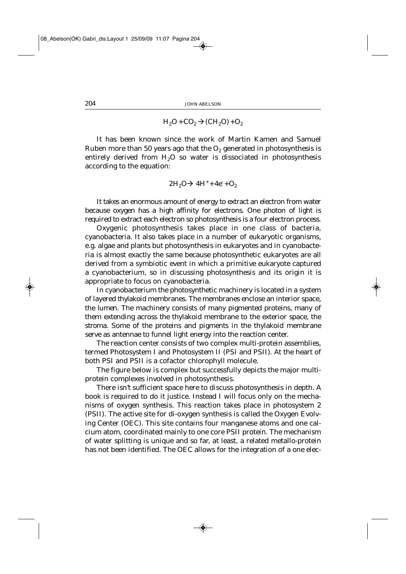$H<sub>2</sub>O + CO<sub>2</sub> \rightarrow (CH<sub>2</sub>O) + O<sub>2</sub>$ 

It has been known since the work of Martin Kamen and Samuel Ruben more than 50 years ago that the  $O<sub>2</sub>$  generated in photosynthesis is entirely derived from  $H_2O$  so water is dissociated in photosynthesis according to the equation:

$$
2H_2O \rightarrow 4H^+ + 4e^- + O_2
$$

It takes an enormous amount of energy to extract an electron from water because oxygen has a high affinity for electrons. One photon of light is required to extract each electron so photosynthesis is a four electron process.

Oxygenic photosynthesis takes place in one class of bacteria, cyanobacteria. It also takes place in a number of eukaryotic organisms, e.g. algae and plants but photosynthesis in eukaryotes and in cyanobacteria is almost exactly the same because photosynthetic eukaryotes are all derived from a symbiotic event in which a primitive eukaryote captured a cyanobacterium, so in discussing photosynthesis and its origin it is appropriate to focus on cyanobacteria.

In cyanobacterium the photosynthetic machinery is located in a system of layered *thylakoid* membranes. The membranes enclose an interior space, the *lumen*. The machinery consists of many pigmented proteins, many of them extending across the thylakoid membrane to the exterior space, the *stroma*. Some of the proteins and pigments in the thylakoid membrane serve as antennae to funnel light energy into the reaction center.

The reaction center consists of two complex multi-protein assemblies, termed Photosystem I and Photosystem II (PSI and PSII). At the heart of both PSI and PSII is a cofactor chlorophyll molecule.

The figure below is complex but successfully depicts the major multiprotein complexes involved in photosynthesis.

There isn't sufficient space here to discuss photosynthesis in depth. A book is required to do it justice. Instead I will focus only on the mechanisms of oxygen synthesis. This reaction takes place in photosystem 2 (PSII). The active site for di-oxygen synthesis is called the Oxygen Evolving Center (OEC). This site contains four manganese atoms and one calcium atom, coordinated mainly to one core PSII protein. The mechanism of water splitting is unique and so far, at least, a related metallo-protein has not been identified. The OEC allows for the integration of a one elec-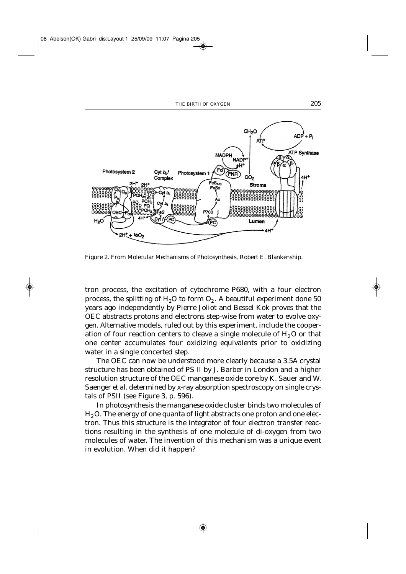

Figure 2. From *Molecular Mechanisms of Photosynthesis*, Robert E. Blankenship.

tron process, the excitation of cytochrome P680, with a four electron process, the splitting of  $H_2O$  to form  $O_2$ . A beautiful experiment done 50 years ago independently by Pierre Joliot and Bessel Kok proves that the OEC abstracts protons and electrons step-wise from water to evolve oxygen. Alternative models, ruled out by this experiment, include the cooperation of four reaction centers to cleave a single molecule of  $H<sub>2</sub>O$  or that one center accumulates four oxidizing equivalents prior to oxidizing water in a single concerted step.

The OEC can now be understood more clearly because a 3.5A crystal structure has been obtained of PS II by J. Barber in London and a higher resolution structure of the OEC manganese oxide core by K. Sauer and W. Saenger *et al.* determined by x-ray absorption spectroscopy on single crystals of PSII (see Figure 3, p. 596).

In photosynthesis the manganese oxide cluster binds two molecules of  $H<sub>2</sub>$ O. The energy of one quanta of light abstracts one proton and one electron. Thus this structure is the integrator of four electron transfer reactions resulting in the synthesis of one molecule of di-oxygen from two molecules of water. The invention of this mechanism was a unique event in evolution. When did it happen?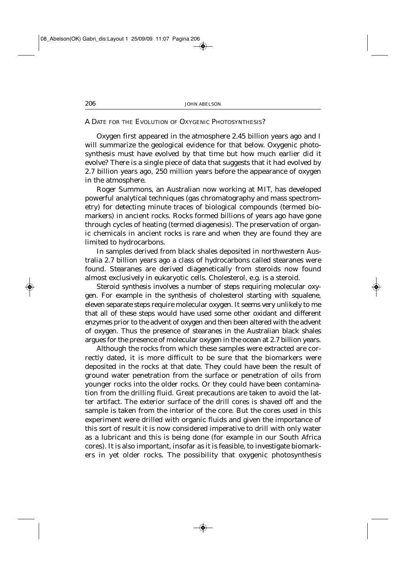A DATE FOR THE EVOLUTION OF OXYGENIC PHOTOSYNTHESIS?

Oxygen first appeared in the atmosphere 2.45 billion years ago and I will summarize the geological evidence for that below. Oxygenic photosynthesis must have evolved by that time but how much earlier did it evolve? There is a single piece of data that suggests that it had evolved by 2.7 billion years ago, 250 million years before the appearance of oxygen in the atmosphere.

Roger Summons, an Australian now working at MIT, has developed powerful analytical techniques (gas chromatography and mass spectrometry) for detecting minute traces of biological compounds (termed biomarkers) in ancient rocks. Rocks formed billions of years ago have gone through cycles of heating (termed diagenesis). The preservation of organic chemicals in ancient rocks is rare and when they are found they are limited to hydrocarbons.

In samples derived from black shales deposited in northwestern Australia 2.7 billion years ago a class of hydrocarbons called stearanes were found. Stearanes are derived diagenetically from steroids now found almost exclusively in eukaryotic cells. Cholesterol, e.g. is a steroid.

Steroid synthesis involves a number of steps requiring molecular oxygen. For example in the synthesis of cholesterol starting with squalene, eleven separate steps require molecular oxygen. It seems very unlikely to me that all of these steps would have used some other oxidant and different enzymes prior to the advent of oxygen and then been altered with the advent of oxygen. Thus the presence of stearanes in the Australian black shales argues for the presence of molecular oxygen in the ocean at 2.7 billion years.

Although the rocks from which these samples were extracted are correctly dated, it is more difficult to be sure that the biomarkers were deposited in the rocks at that date. They could have been the result of ground water penetration from the surface or penetration of oils from younger rocks into the older rocks. Or they could have been contamination from the drilling fluid. Great precautions are taken to avoid the latter artifact. The exterior surface of the drill cores is shaved off and the sample is taken from the interior of the core. But the cores used in this experiment were drilled with organic fluids and given the importance of this sort of result it is now considered imperative to drill with only water as a lubricant and this is being done (for example in our South Africa cores). It is also important, insofar as it is feasible, to investigate biomarkers in yet older rocks. The possibility that oxygenic photosynthesis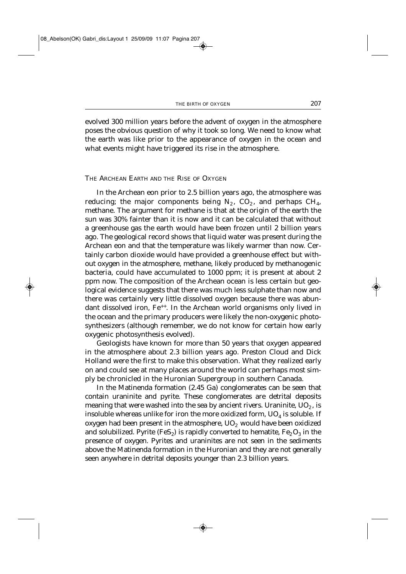evolved 300 million years before the advent of oxygen in the atmosphere poses the obvious question of why it took so long. We need to know what the earth was like prior to the appearance of oxygen in the ocean and what events might have triggered its rise in the atmosphere.

THE ARCHEAN EARTH AND THE RISE OF OXYGEN

In the Archean eon prior to 2.5 billion years ago, the atmosphere was reducing; the major components being  $N_2$ ,  $CO_2$ , and perhaps  $CH_4$ , methane. The argument for methane is that at the origin of the earth the sun was 30% fainter than it is now and it can be calculated that without a greenhouse gas the earth would have been frozen until 2 billion years ago. The geological record shows that liquid water was present during the Archean eon and that the temperature was likely warmer than now. Certainly carbon dioxide would have provided a greenhouse effect but without oxygen in the atmosphere, methane, likely produced by methanogenic bacteria, could have accumulated to 1000 ppm; it is present at about 2 ppm now. The composition of the Archean ocean is less certain but geological evidence suggests that there was much less sulphate than now and there was certainly very little dissolved oxygen because there was abundant dissolved iron, Fe<sup>++</sup>. In the Archean world organisms only lived in the ocean and the primary producers were likely the non-oxygenic photosynthesizers (although remember, we do not know for certain how early oxygenic photosynthesis evolved).

Geologists have known for more than 50 years that oxygen appeared in the atmosphere about 2.3 billion years ago. Preston Cloud and Dick Holland were the first to make this observation. What they realized early on and could see at many places around the world can perhaps most simply be chronicled in the Huronian Supergroup in southern Canada.

In the Matinenda formation (2.45 Ga) conglomerates can be seen that contain uraninite and pyrite. These conglomerates are detrital deposits meaning that were washed into the sea by ancient rivers. Uraninite,  $UO<sub>2</sub>$ , is insoluble whereas unlike for iron the more oxidized form,  $UO<sub>4</sub>$  is soluble. If oxygen had been present in the atmosphere,  $UO<sub>2</sub>$  would have been oxidized and solubilized. Pyrite (FeS<sub>2</sub>) is rapidly converted to hematite,  $Fe<sub>2</sub>O<sub>3</sub>$  in the presence of oxygen. Pyrites and uraninites are not seen in the sediments above the Matinenda formation in the Huronian and they are not generally seen anywhere in detrital deposits younger than 2.3 billion years.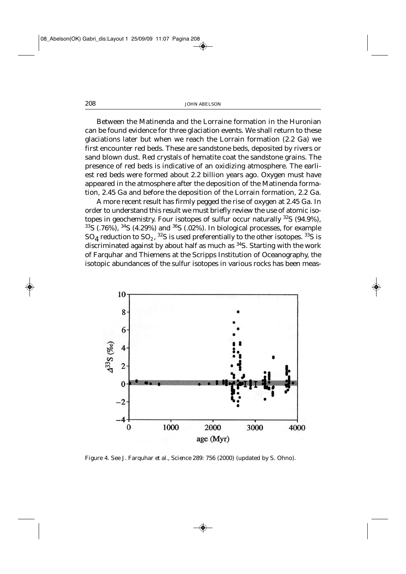Between the Matinenda and the Lorraine formation in the Huronian can be found evidence for three glaciation events. We shall return to these glaciations later but when we reach the Lorrain formation (2.2 Ga) we first encounter red beds. These are sandstone beds, deposited by rivers or sand blown dust. Red crystals of hematite coat the sandstone grains. The presence of red beds is indicative of an oxidizing atmosphere. The earliest red beds were formed about 2.2 billion years ago. Oxygen must have appeared in the atmosphere after the deposition of the Matinenda formation, 2.45 Ga and before the deposition of the Lorrain formation, 2.2 Ga.

A more recent result has firmly pegged the rise of oxygen at 2.45 Ga. In order to understand this result we must briefly review the use of atomic isotopes in geochemistry. Four isotopes of sulfur occur naturally  $32S$  (94.9%),  $33\text{S}$  (.76%),  $34\text{S}$  (4.29%) and  $36\text{S}$  (.02%). In biological processes, for example  $SO_4$  reduction to  $SO_2$ , <sup>32</sup>S is used preferentially to the other isotopes. <sup>33</sup>S is discriminated against by about half as much as 34S. Starting with the work of Farquhar and Thiemens at the Scripps Institution of Oceanography, the isotopic abundances of the sulfur isotopes in various rocks has been meas-



Figure 4. See J. Farquhar *et al., Science* 289: 756 (2000) (updated by S. Ohno).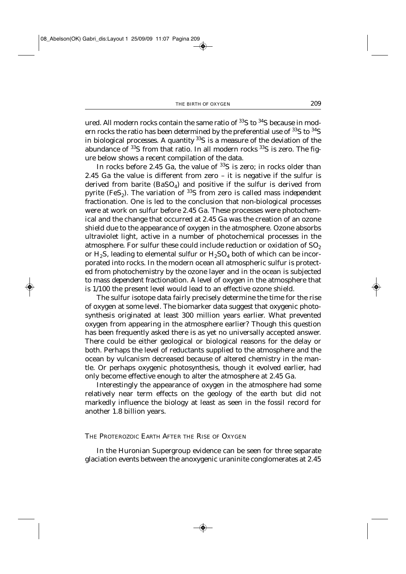ured. All modern rocks contain the same ratio of <sup>33</sup>S to <sup>34</sup>S because in modern rocks the ratio has been determined by the preferential use of <sup>33</sup>S to <sup>34</sup>S in biological processes. A quantity  $33S$  is a measure of the deviation of the abundance of  $33S$  from that ratio. In all modern rocks  $33S$  is zero. The figure below shows a recent compilation of the data.

In rocks before 2.45 Ga, the value of  $^{33}S$  is zero; in rocks older than 2.45 Ga the value is different from zero – it is negative if the sulfur is derived from barite  $(BaSO_4)$  and positive if the sulfur is derived from pyrite (FeS<sub>2</sub>). The variation of <sup>33</sup>S from zero is called *mass independent fractionation*. One is led to the conclusion that non-biological processes were at work on sulfur before 2.45 Ga. These processes were photochemical and the change that occurred at 2.45 Ga was the creation of an ozone shield due to the appearance of oxygen in the atmosphere. Ozone absorbs ultraviolet light, active in a number of photochemical processes in the atmosphere. For sulfur these could include reduction or oxidation of  $SO<sub>2</sub>$ or H<sub>2</sub>S, leading to elemental sulfur or  $H_2SO_4$  both of which can be incorporated into rocks. In the modern ocean all atmospheric sulfur is protected from photochemistry by the ozone layer and in the ocean is subjected to *mass dependent fractionation*. A level of oxygen in the atmosphere that is 1/100 the present level would lead to an effective ozone shield.

The sulfur isotope data fairly precisely determine the time for the rise of oxygen at some level. The biomarker data suggest that oxygenic photosynthesis originated at least 300 million years earlier. What prevented oxygen from appearing in the atmosphere earlier? Though this question has been frequently asked there is as yet no universally accepted answer. There could be either geological or biological reasons for the delay or both. Perhaps the level of reductants supplied to the atmosphere and the ocean by vulcanism decreased because of altered chemistry in the mantle. Or perhaps oxygenic photosynthesis, though it evolved earlier, had only become effective enough to alter the atmosphere at 2.45 Ga.

Interestingly the appearance of oxygen in the atmosphere had some relatively near term effects on the geology of the earth but did not markedly influence the biology at least as seen in the fossil record for another 1.8 billion years.

#### THE PROTEROZOIC EARTH AFTER THE RISE OF OXYGEN

In the Huronian Supergroup evidence can be seen for three separate glaciation events between the anoxygenic uraninite conglomerates at 2.45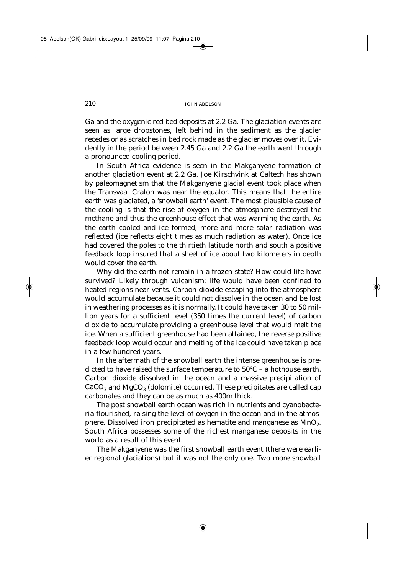Ga and the oxygenic red bed deposits at 2.2 Ga. The glaciation events are seen as large dropstones, left behind in the sediment as the glacier recedes or as scratches in bed rock made as the glacier moves over it. Evidently in the period between 2.45 Ga and 2.2 Ga the earth went through a pronounced cooling period.

In South Africa evidence is seen in the Makganyene formation of another glaciation event at 2.2 Ga. Joe Kirschvink at Caltech has shown by paleomagnetism that the Makganyene glacial event took place when the Transvaal Craton was near the equator. This means that the entire earth was glaciated, a 'snowball earth' event. The most plausible cause of the cooling is that the rise of oxygen in the atmosphere destroyed the methane and thus the greenhouse effect that was warming the earth. As the earth cooled and ice formed, more and more solar radiation was reflected (ice reflects eight times as much radiation as water). Once ice had covered the poles to the thirtieth latitude north and south a positive feedback loop insured that a sheet of ice about two kilometers in depth would cover the earth.

Why did the earth not remain in a frozen state? How could life have survived? Likely through vulcanism; life would have been confined to heated regions near vents. Carbon dioxide escaping into the atmosphere would accumulate because it could not dissolve in the ocean and be lost in weathering processes as it is normally. It could have taken 30 to 50 million years for a sufficient level (350 times the current level) of carbon dioxide to accumulate providing a greenhouse level that would melt the ice. When a sufficient greenhouse had been attained, the reverse positive feedback loop would occur and melting of the ice could have taken place in a few hundred years.

In the aftermath of the snowball earth the intense greenhouse is predicted to have raised the surface temperature to 50°C – a hothouse earth. Carbon dioxide dissolved in the ocean and a massive precipitation of  $CaCO<sub>3</sub>$  and MgCO<sub>3</sub> (dolomite) occurred. These precipitates are called cap carbonates and they can be as much as 400m thick.

The post snowball earth ocean was rich in nutrients and cyanobacteria flourished, raising the level of oxygen in the ocean and in the atmosphere. Dissolved iron precipitated as hematite and manganese as  $MnO<sub>2</sub>$ . South Africa possesses some of the richest manganese deposits in the world as a result of this event.

The Makganyene was the first snowball earth event (there were earlier regional glaciations) but it was not the only one. Two more snowball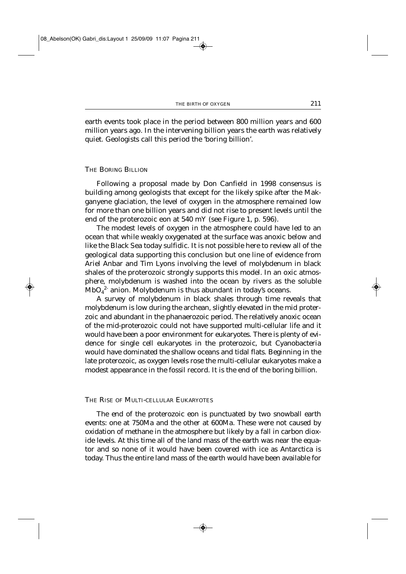earth events took place in the period between 800 million years and 600 million years ago. In the intervening billion years the earth was relatively quiet. Geologists call this period the 'boring billion'.

#### THE BORING BILLION

Following a proposal made by Don Canfield in 1998 consensus is building among geologists that except for the likely spike after the Makganyene glaciation, the level of oxygen in the atmosphere remained low for more than one billion years and did not rise to present levels until the end of the proterozoic eon at 540 mY (see Figure 1, p. 596).

The modest levels of oxygen in the atmosphere could have led to an ocean that while weakly oxygenated at the surface was anoxic below and like the Black Sea today sulfidic. It is not possible here to review all of the geological data supporting this conclusion but one line of evidence from Ariel Anbar and Tim Lyons involving the level of molybdenum in black shales of the proterozoic strongly supports this model. In an oxic atmosphere, molybdenum is washed into the ocean by rivers as the soluble  $\mathsf{MbO_4}^2$  anion. Molybdenum is thus abundant in today's oceans.

A survey of molybdenum in black shales through time reveals that molybdenum is low during the archean, slightly elevated in the mid proterzoic and abundant in the phanaerozoic period. The relatively anoxic ocean of the mid-proterozoic could not have supported multi-cellular life and it would have been a poor environment for eukaryotes. There is plenty of evidence for single cell eukaryotes in the proterozoic, but Cyanobacteria would have dominated the shallow oceans and tidal flats. Beginning in the late proterozoic, as oxygen levels rose the multi-cellular eukaryotes make a modest appearance in the fossil record. It is the end of the boring billion.

## THE RISE OF MULTI-CELLULAR EUKARYOTES

The end of the proterozoic eon is punctuated by two snowball earth events: one at 750Ma and the other at 600Ma. These were not caused by oxidation of methane in the atmosphere but likely by a fall in carbon dioxide levels. At this time all of the land mass of the earth was near the equator and so none of it would have been covered with ice as Antarctica is today. Thus the entire land mass of the earth would have been available for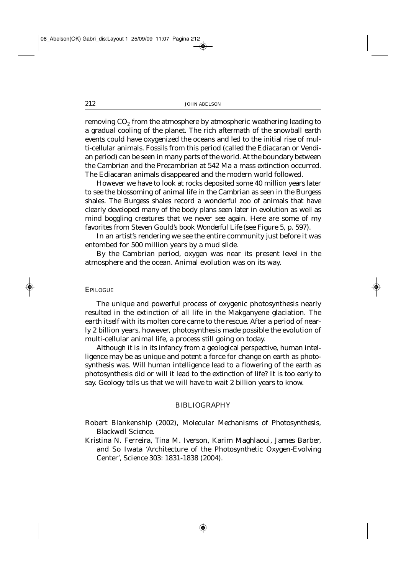removing  $CO<sub>2</sub>$  from the atmosphere by atmospheric weathering leading to a gradual cooling of the planet. The rich aftermath of the snowball earth events could have oxygenized the oceans and led to the initial rise of multi-cellular animals. Fossils from this period (called the Ediacaran or Vendian period) can be seen in many parts of the world. At the boundary between the Cambrian and the Precambrian at 542 Ma a mass extinction occurred. The Ediacaran animals disappeared and the modern world followed.

However we have to look at rocks deposited some 40 million years later to see the blossoming of animal life in the Cambrian as seen in the Burgess shales. The Burgess shales record a wonderful zoo of animals that have clearly developed many of the body plans seen later in evolution as well as mind boggling creatures that we never see again. Here are some of my favorites from Steven Gould's book *Wonderful Life* (see Figure 5, p. 597).

In an artist's rendering we see the entire community just before it was entombed for 500 million years by a mud slide.

By the Cambrian period, oxygen was near its present level in the atmosphere and the ocean. Animal evolution was on its way.

#### EPILOGUE

The unique and powerful process of oxygenic photosynthesis nearly resulted in the extinction of all life in the Makganyene glaciation. The earth itself with its molten core came to the rescue. After a period of nearly 2 billion years, however, photosynthesis made possible the evolution of multi-cellular animal life, a process still going on today.

Although it is in its infancy from a geological perspective, human intelligence may be as unique and potent a force for change on earth as photosynthesis was. Will human intelligence lead to a flowering of the earth as photosynthesis did or will it lead to the extinction of life? It is too early to say. Geology tells us that we will have to wait 2 billion years to know.

## BIBLIOGRAPHY

- Robert Blankenship (2002), *Molecular Mechanisms of Photosynthesis, Blackwell Science*.
- Kristina N. Ferreira, Tina M. Iverson, Karim Maghlaoui, James Barber, and So Iwata 'Architecture of the Photosynthetic Oxygen-Evolving Center', *Science* 303: 1831-1838 (2004).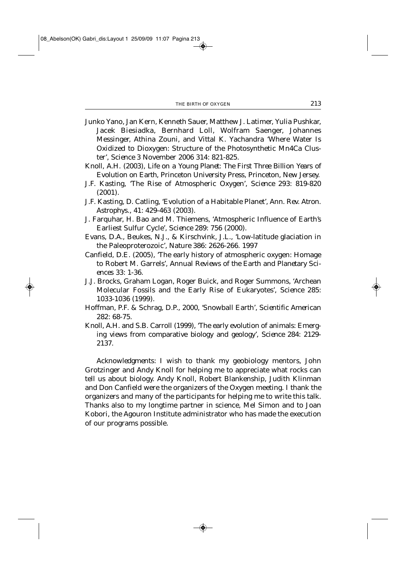- Junko Yano, Jan Kern, Kenneth Sauer, Matthew J. Latimer, Yulia Pushkar, Jacek Biesiadka, Bernhard Loll, Wolfram Saenger, Johannes Messinger, Athina Zouni, and Vittal K. Yachandra 'Where Water Is Oxidized to Dioxygen: Structure of the Photosynthetic Mn4Ca Cluster', *Science* 3 November 2006 314: 821-825.
- Knoll, A.H. (2003), *Life on a Young Planet: The First Three Billion Years of Evolution on Earth*, Princeton University Press, Princeton, New Jersey.
- J.F. Kasting, 'The Rise of Atmospheric Oxygen', *Science* 293: 819-820 (2001).
- J.F. Kasting, D. Catling, 'Evolution of a Habitable Planet', *Ann. Rev. Atron. Astrophys*., 41: 429-463 (2003).
- J. Farquhar, H. Bao and M. Thiemens, 'Atmospheric Influence of Earth's Earliest Sulfur Cycle', *Science* 289: 756 (2000).
- Evans, D.A., Beukes, N.J., & Kirschvink, J.L., 'Low-latitude glaciation in the Paleoproterozoic', *Nature* 386: 2626-266. 1997
- Canfield, D.E. (2005), 'The early history of atmospheric oxygen: Homage to Robert M. Garrels', *Annual Reviews of the Earth and Planetary Sciences* 33: 1-36.
- J.J. Brocks, Graham Logan, Roger Buick, and Roger Summons, 'Archean Molecular Fossils and the Early Rise of Eukaryotes', *Science* 285: 1033-1036 (1999).
- Hoffman, P.F. & Schrag, D.P., 2000, 'Snowball Earth', *Scientific American* 282: 68-75.
- Knoll, A.H. and S.B. Carroll (1999), 'The early evolution of animals: Emerging views from comparative biology and geology', *Science* 284: 2129- 2137.

*Acknowledgments*: I wish to thank my geobiology mentors, John Grotzinger and Andy Knoll for helping me to appreciate what rocks can tell us about biology. Andy Knoll, Robert Blankenship, Judith Klinman and Don Canfield were the organizers of the Oxygen meeting. I thank the organizers and many of the participants for helping me to write this talk. Thanks also to my longtime partner in science, Mel Simon and to Joan Kobori, the Agouron Institute administrator who has made the execution of our programs possible.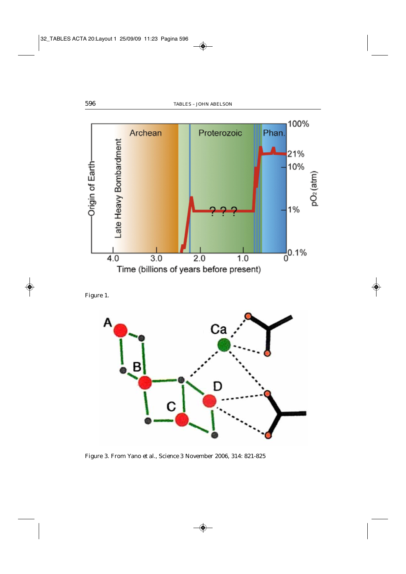

Figure 1.



Figure 3. From Yano *et al.*, *Science* 3 November 2006, 314: 821-825